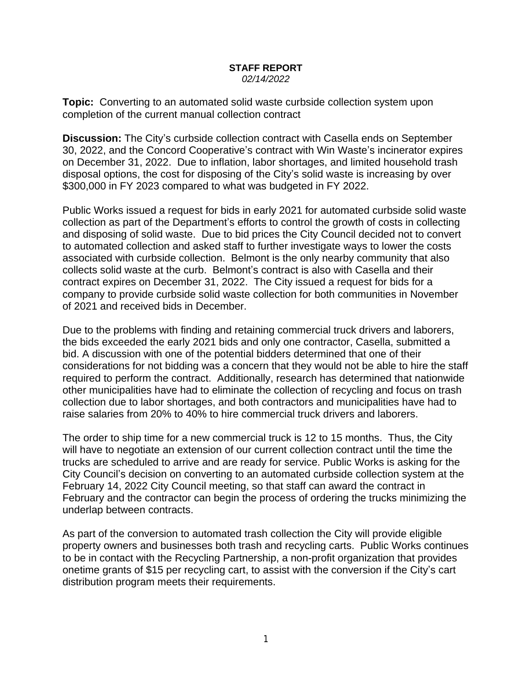## **STAFF REPORT** *02/14/2022*

**Topic:** Converting to an automated solid waste curbside collection system upon completion of the current manual collection contract

**Discussion:** The City's curbside collection contract with Casella ends on September 30, 2022, and the Concord Cooperative's contract with Win Waste's incinerator expires on December 31, 2022. Due to inflation, labor shortages, and limited household trash disposal options, the cost for disposing of the City's solid waste is increasing by over \$300,000 in FY 2023 compared to what was budgeted in FY 2022.

Public Works issued a request for bids in early 2021 for automated curbside solid waste collection as part of the Department's efforts to control the growth of costs in collecting and disposing of solid waste. Due to bid prices the City Council decided not to convert to automated collection and asked staff to further investigate ways to lower the costs associated with curbside collection. Belmont is the only nearby community that also collects solid waste at the curb. Belmont's contract is also with Casella and their contract expires on December 31, 2022. The City issued a request for bids for a company to provide curbside solid waste collection for both communities in November of 2021 and received bids in December.

Due to the problems with finding and retaining commercial truck drivers and laborers, the bids exceeded the early 2021 bids and only one contractor, Casella, submitted a bid. A discussion with one of the potential bidders determined that one of their considerations for not bidding was a concern that they would not be able to hire the staff required to perform the contract. Additionally, research has determined that nationwide other municipalities have had to eliminate the collection of recycling and focus on trash collection due to labor shortages, and both contractors and municipalities have had to raise salaries from 20% to 40% to hire commercial truck drivers and laborers.

The order to ship time for a new commercial truck is 12 to 15 months. Thus, the City will have to negotiate an extension of our current collection contract until the time the trucks are scheduled to arrive and are ready for service. Public Works is asking for the City Council's decision on converting to an automated curbside collection system at the February 14, 2022 City Council meeting, so that staff can award the contract in February and the contractor can begin the process of ordering the trucks minimizing the underlap between contracts.

As part of the conversion to automated trash collection the City will provide eligible property owners and businesses both trash and recycling carts. Public Works continues to be in contact with the Recycling Partnership, a non-profit organization that provides onetime grants of \$15 per recycling cart, to assist with the conversion if the City's cart distribution program meets their requirements.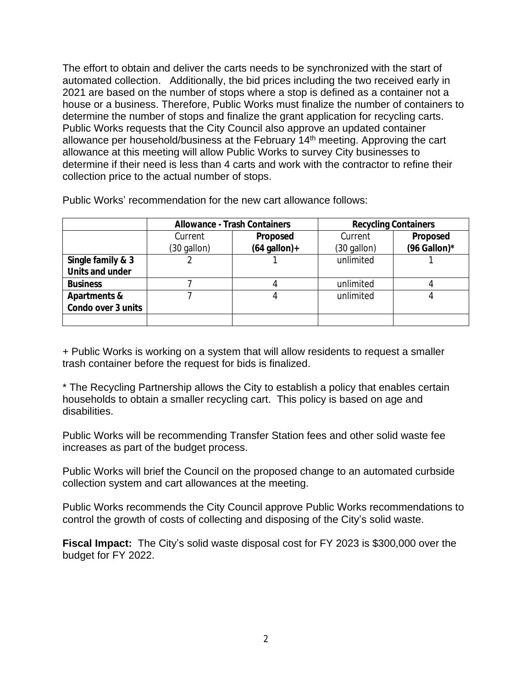The effort to obtain and deliver the carts needs to be synchronized with the start of automated collection. Additionally, the bid prices including the two received early in 2021 are based on the number of stops where a stop is defined as a container not a house or a business. Therefore, Public Works must finalize the number of containers to determine the number of stops and finalize the grant application for recycling carts. Public Works requests that the City Council also approve an updated container allowance per household/business at the February 14th meeting. Approving the cart allowance at this meeting will allow Public Works to survey City businesses to determine if their need is less than 4 carts and work with the contractor to refine their collection price to the actual number of stops.

|                         | <b>Allowance - Trash Containers</b> |                | <b>Recycling Containers</b> |              |
|-------------------------|-------------------------------------|----------------|-----------------------------|--------------|
|                         | Current                             | Proposed       | Current                     | Proposed     |
|                         | $(30$ gallon)                       | $(64$ gallon)+ | (30 gallon)                 | (96 Gallon)* |
| Single family & 3       |                                     |                | unlimited                   |              |
| Units and under         |                                     |                |                             |              |
| <b>Business</b>         |                                     |                | unlimited                   |              |
| <b>Apartments &amp;</b> |                                     |                | unlimited                   |              |
| Condo over 3 units      |                                     |                |                             |              |
|                         |                                     |                |                             |              |

Public Works' recommendation for the new cart allowance follows:

+ Public Works is working on a system that will allow residents to request a smaller trash container before the request for bids is finalized.

\* The Recycling Partnership allows the City to establish a policy that enables certain households to obtain a smaller recycling cart. This policy is based on age and disabilities.

Public Works will be recommending Transfer Station fees and other solid waste fee increases as part of the budget process.

Public Works will brief the Council on the proposed change to an automated curbside collection system and cart allowances at the meeting.

Public Works recommends the City Council approve Public Works recommendations to control the growth of costs of collecting and disposing of the City's solid waste.

**Fiscal Impact:** The City's solid waste disposal cost for FY 2023 is \$300,000 over the budget for FY 2022.